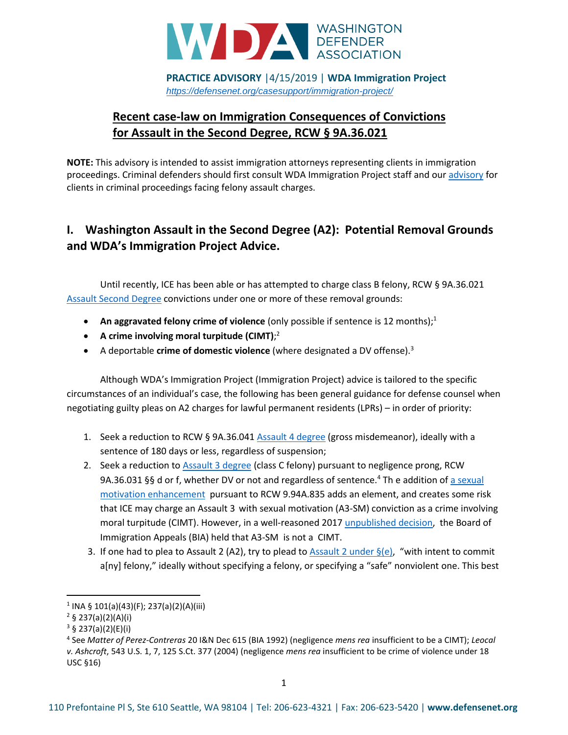

**PRACTICE ADVISORY** |4/15/2019 | **WDA Immigration Project** *<https://defensenet.org/casesupport/immigration-project/>*

# **Recent case-law on Immigration Consequences of Convictions for Assault in the Second Degree, RCW § 9A.36.021**

**NOTE:** This advisory is intended to assist immigration attorneys representing clients in immigration proceedings. Criminal defenders should first consult WDA Immigration Project staff and ou[r advisory](https://defensenet.org/resources/felony-assault-practice-advisory/) for clients in criminal proceedings facing felony assault charges.

### **I. Washington Assault in the Second Degree (A2): Potential Removal Grounds and WDA's Immigration Project Advice.**

Until recently, ICE has been able or has attempted to charge class B felony, RCW § 9A.36.021 [Assault Second Degree](https://app.leg.wa.gov/RCW/default.aspx?cite=9A.36.021) convictions under one or more of these removal grounds:

- **An aggravated felony crime of violence** (only possible if sentence is 12 months);<sup>1</sup>
- **A crime involving moral turpitude (CIMT)**; 2
- A deportable **crime of domestic violence** (where designated a DV offense).<sup>3</sup>

Although WDA's Immigration Project (Immigration Project) advice is tailored to the specific circumstances of an individual's case, the following has been general guidance for defense counsel when negotiating guilty pleas on A2 charges for lawful permanent residents (LPRs) – in order of priority:

- 1. Seek a reduction to RCW § 9A.36.041 [Assault 4 degree](https://app.leg.wa.gov/RCW/default.aspx?cite=9A.36.041) (gross misdemeanor), ideally with a sentence of 180 days or less, regardless of suspension;
- 2. Seek a reduction to [Assault 3 degree](https://app.leg.wa.gov/RCW/default.aspx?cite=9A.36.031) (class C felony) pursuant to negligence prong, RCW 9A.36.031 §§ d or f, whether DV or not and regardless of sentence.<sup>4</sup> Th e addition of a sexual [motivation enhancement](https://app.leg.wa.gov/rcw/default.aspx?cite=9.94A.835) pursuant to RCW 9.94A.835 adds an element, and creates some risk that ICE may charge an Assault 3 with sexual motivation (A3-SM) conviction as a crime involving moral turpitude (CIMT). However, in a well-reasoned 2017 [unpublished decision,](https://defensenet.org/resources/washington-assault-offenses-and-the-sexual-motivation-enhancement-practice-advisory/) the Board of Immigration Appeals (BIA) held that A3-SM is not a CIMT.
- 3. If one had to plea to Assault 2 (A2), try to plead to Assault 2 under  $\S(e)$ , "with intent to commit a[ny] felony," ideally without specifying a felony, or specifying a "safe" nonviolent one. This best

l

<sup>1</sup> INA § 101(a)(43)(F); 237(a)(2)(A)(iii)

 $2 \S$  237(a)(2)(A)(i)

 $3 \S 237(a)(2)(E)(i)$ 

<sup>4</sup> See *Matter of Perez-Contreras* 20 I&N Dec 615 (BIA 1992) (negligence *mens rea* insufficient to be a CIMT); *Leocal v. Ashcroft*, 543 U.S. 1, 7, 125 S.Ct. 377 (2004) (negligence *mens rea* insufficient to be crime of violence under 18 USC §16)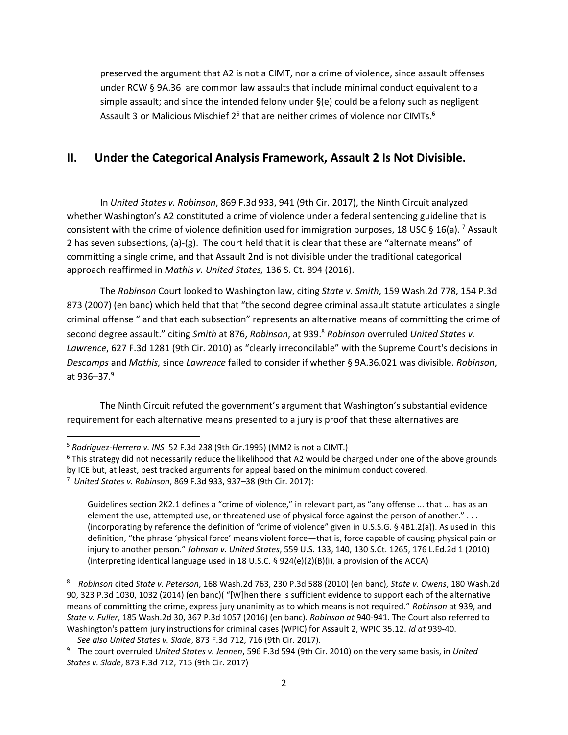preserved the argument that A2 is not a CIMT, nor a crime of violence, since assault offenses under RCW § 9A.36 are common law assaults that include minimal conduct equivalent to a simple assault; and since the intended felony under §(e) could be a felony such as negligent Assault 3 or Malicious Mischief 2<sup>5</sup> that are neither crimes of violence nor CIMTs.<sup>6</sup>

### **II. Under the Categorical Analysis Framework, Assault 2 Is Not Divisible.**

In *United States v. Robinson*, 869 F.3d 933, 941 (9th Cir. 2017), the Ninth Circuit analyzed whether Washington's A2 constituted a crime of violence under a federal sentencing guideline that is consistent with the crime of violence definition used for immigration purposes, 18 USC § 16(a). <sup>7</sup> Assault 2 has seven subsections, (a)-(g). The court held that it is clear that these are "alternate means" of committing a single crime, and that Assault 2nd is not divisible under the traditional categorical approach reaffirmed in *Mathis v. United States,* 136 S. Ct. 894 (2016).

The *Robinson* Court looked to Washington law, citing *State v. Smith*, 159 Wash.2d 778, 154 P.3d 873 (2007) (en banc) which held that that "the second degree criminal assault statute articulates a single criminal offense " and that each subsection" represents an alternative means of committing the crime of second degree assault." citing *Smith* at 876, *Robinson*, at 939.<sup>8</sup> *Robinson* overruled *United States v. Lawrence*, 627 F.3d 1281 (9th Cir. 2010) as "clearly irreconcilable" with the Supreme Court's decisions in *Descamps* and *Mathis,* since *Lawrence* failed to consider if whether § 9A.36.021 was divisible. *Robinson*, at 936–37. $9$ 

The Ninth Circuit refuted the government's argument that Washington's substantial evidence requirement for each alternative means presented to a jury is proof that these alternatives are

l

Guidelines section 2K2.1 defines a "crime of violence," in relevant part, as "any offense ... that ... has as an element the use, attempted use, or threatened use of physical force against the person of another." . . . (incorporating by reference the definition of "crime of violence" given in U.S.S.G. § 4B1.2(a)). As used in this definition, "the phrase 'physical force' means violent force—that is, force capable of causing physical pain or injury to another person." *Johnson v. United States*, 559 U.S. 133, 140, 130 S.Ct. 1265, 176 L.Ed.2d 1 (2010) (interpreting identical language used in 18 U.S.C. § 924(e)(2)(B)(i), a provision of the ACCA)

8 *Robinson* cited *State v. Peterson*, 168 Wash.2d 763, 230 P.3d 588 (2010) (en banc), *State v. Owens*, 180 Wash.2d 90, 323 P.3d 1030, 1032 (2014) (en banc)( "[W]hen there is sufficient evidence to support each of the alternative means of committing the crime, express jury unanimity as to which means is not required." *Robinson* at 939, and *State v. Fuller*, 185 Wash.2d 30, 367 P.3d 1057 (2016) (en banc). *Robinson at* 940-941. The Court also referred to Washington's pattern jury instructions for criminal cases (WPIC) for Assault 2, WPIC 35.12. *Id at* 939-40. *See also United States v. Slade*, 873 F.3d 712, 716 (9th Cir. 2017).

<sup>5</sup> *Rodriguez-Herrera v. INS* 52 F.3d 238 (9th Cir.1995) (MM2 is not a CIMT.)

<sup>&</sup>lt;sup>6</sup> This strategy did not necessarily reduce the likelihood that A2 would be charged under one of the above grounds by ICE but, at least, best tracked arguments for appeal based on the minimum conduct covered. 7 *United States v. Robinson*, 869 F.3d 933, 937–38 (9th Cir. 2017):

<sup>9</sup> The court overruled *United States v. Jennen*, 596 F.3d 594 (9th Cir. 2010) on the very same basis, in *United States v. Slade*, 873 F.3d 712, 715 (9th Cir. 2017)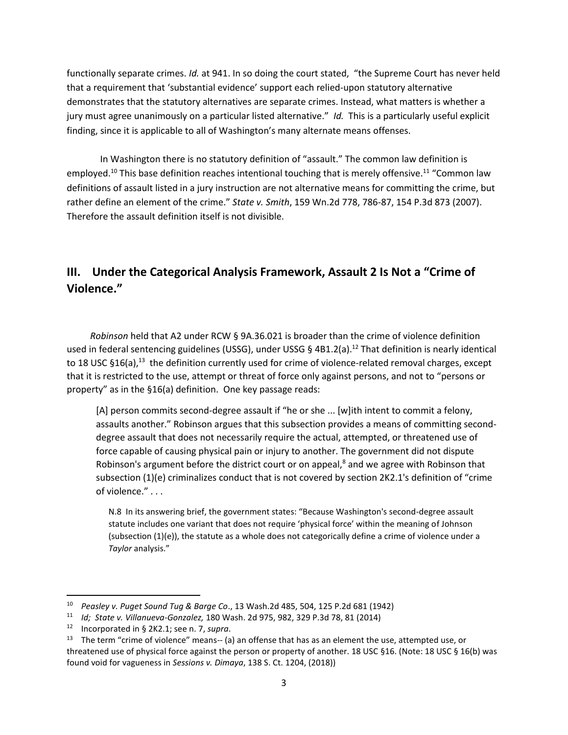functionally separate crimes. *Id.* at 941. In so doing the court stated, "the Supreme Court has never held that a requirement that 'substantial evidence' support each relied-upon statutory alternative demonstrates that the statutory alternatives are separate crimes. Instead, what matters is whether a jury must agree unanimously on a particular listed alternative." *Id.* This is a particularly useful explicit finding, since it is applicable to all of Washington's many alternate means offenses.

In Washington there is no statutory definition of "assault." The common law definition is employed.<sup>10</sup> This base definition reaches intentional touching that is merely offensive.<sup>11</sup> "Common law definitions of assault listed in a jury instruction are not alternative means for committing the crime, but rather define an element of the crime." *State v. Smith*, 159 Wn.2d 778, 786-87, 154 P.3d 873 (2007). Therefore the assault definition itself is not divisible.

# **III. Under the Categorical Analysis Framework, Assault 2 Is Not a "Crime of Violence."**

 *Robinson* held that A2 under RCW § 9A.36.021 is broader than the crime of violence definition used in federal sentencing guidelines (USSG), under USSG § 4B1.2(a).<sup>12</sup> That definition is nearly identical to 18 USC §16(a),<sup>13</sup> the definition currently used for crime of violence-related removal charges, except that it is restricted to the use, attempt or threat of force only against persons, and not to "persons or property" as in the §16(a) definition. One key passage reads:

[A] person commits second-degree assault if "he or she ... [w]ith intent to commit a felony, assaults another." Robinson argues that this subsection provides a means of committing seconddegree assault that does not necessarily require the actual, attempted, or threatened use of force capable of causing physical pain or injury to another. The government did not dispute Robinson's argument before the district court or on appeal,<sup>8</sup> and we agree with Robinson that subsection (1)(e) criminalizes conduct that is not covered by section 2K2.1's definition of "crime of violence." . . .

N.8 In its answering brief, the government states: "Because Washington's second-degree assault statute includes one variant that does not require 'physical force' within the meaning of Johnson (subsection  $(1)(e)$ ), the statute as a whole does not categorically define a crime of violence under a *Taylor* analysis."

l

<sup>10</sup> *Peasley v. Puget Sound Tug & Barge Co*., 13 Wash.2d 485, 504, 125 P.2d 681 (1942)

<sup>11</sup>  *Id; State v. Villanueva-Gonzalez,* 180 Wash. 2d 975, 982, 329 P.3d 78, 81 (2014)

<sup>12</sup> Incorporated in § 2K2.1; see n. 7, *supra*.

<sup>&</sup>lt;sup>13</sup> The term "crime of violence" means-- (a) an offense that has as an element the use, attempted use, or threatened use of physical force against the person or property of another. 18 USC §16. (Note: 18 USC § 16(b) was found void for vagueness in *Sessions v. Dimaya*, 138 S. Ct. 1204, (2018))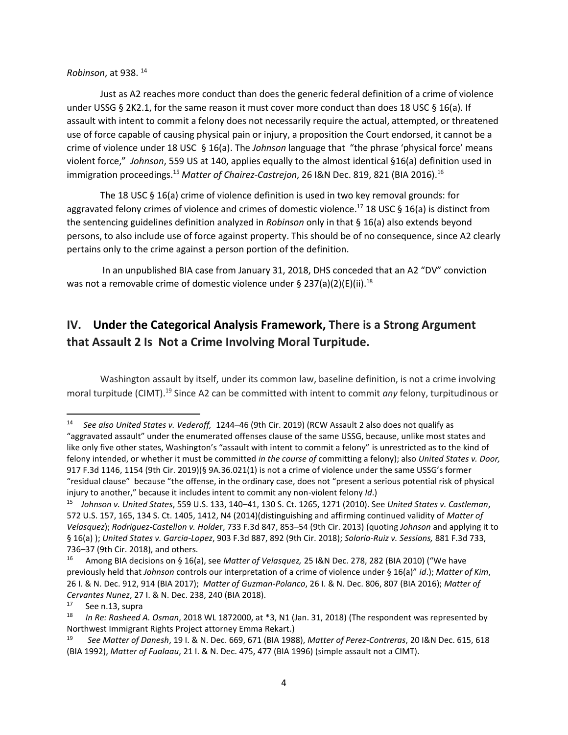#### *Robinson*, at 938. <sup>14</sup>

Just as A2 reaches more conduct than does the generic federal definition of a crime of violence under USSG § 2K2.1, for the same reason it must cover more conduct than does 18 USC § 16(a). If assault with intent to commit a felony does not necessarily require the actual, attempted, or threatened use of force capable of causing physical pain or injury, a proposition the Court endorsed, it cannot be a crime of violence under 18 USC § 16(a). The *Johnson* language that "the phrase 'physical force' means violent force," *Johnson*, 559 US at 140, applies equally to the almost identical §16(a) definition used in immigration proceedings.<sup>15</sup> *Matter of Chairez-Castrejon*, 26 I&N Dec. 819, 821 (BIA 2016). 16

The 18 USC § 16(a) crime of violence definition is used in two key removal grounds: for aggravated felony crimes of violence and crimes of domestic violence.<sup>17</sup> 18 USC § 16(a) is distinct from the sentencing guidelines definition analyzed in *Robinson* only in that § 16(a) also extends beyond persons, to also include use of force against property. This should be of no consequence, since A2 clearly pertains only to the crime against a person portion of the definition.

In an unpublished BIA case from January 31, 2018, DHS conceded that an A2 "DV" conviction was not a removable crime of domestic violence under § 237(a)(2)(E)(ii). $^{18}$ 

## **IV. Under the Categorical Analysis Framework, There is a Strong Argument that Assault 2 Is Not a Crime Involving Moral Turpitude.**

Washington assault by itself, under its common law, baseline definition, is not a crime involving moral turpitude (CIMT). <sup>19</sup> Since A2 can be committed with intent to commit *any* felony, turpitudinous or

l

<sup>14</sup> *See also United States v. Vederoff,* 1244–46 (9th Cir. 2019) (RCW Assault 2 also does not qualify as "aggravated assault" under the enumerated offenses clause of the same USSG, because, unlike most states and like only five other states, Washington's "assault with intent to commit a felony" is unrestricted as to the kind of felony intended, or whether it must be committed *in the course of* committing a felony); also *United States v. Door,* 917 F.3d 1146, 1154 (9th Cir. 2019)(§ 9A.36.021(1) is not a crime of violence under the same USSG's former "residual clause" because "the offense, in the ordinary case, does not "present a serious potential risk of physical injury to another," because it includes intent to commit any non-violent felony *Id*.)

<sup>15</sup> *Johnson v. United States*, 559 U.S. 133, 140–41, 130 S. Ct. 1265, 1271 (2010). See *United States v. Castleman*, 572 U.S. 157, 165, 134 S. Ct. 1405, 1412, N4 (2014)(distinguishing and affirming continued validity of *Matter of Velasquez*); *Rodriguez-Castellon v. Holde*r, 733 F.3d 847, 853–54 (9th Cir. 2013) (quoting *Johnson* and applying it to § 16(a) ); *United States v. Garcia-Lopez*, 903 F.3d 887, 892 (9th Cir. 2018); *Solorio-Ruiz v. Sessions,* 881 F.3d 733, 736–37 (9th Cir. 2018), and others.

<sup>16</sup> Among BIA decisions on § 16(a), see *Matter of Velasquez,* 25 I&N Dec. 278, 282 (BIA 2010) ("We have previously held that *Johnson* controls our interpretation of a crime of violence under § 16(a)" *id*.); *Matter of Kim*, 26 I. & N. Dec. 912, 914 (BIA 2017); *Matter of Guzman-Polanco*, 26 I. & N. Dec. 806, 807 (BIA 2016); *Matter of Cervantes Nunez*, 27 I. & N. Dec. 238, 240 (BIA 2018).

<sup>17</sup> See n.13, supra

<sup>18</sup>  *In Re: Rasheed A. Osman*, 2018 WL 1872000, at \*3, N1 (Jan. 31, 2018) (The respondent was represented by Northwest Immigrant Rights Project attorney Emma Rekart.)

<sup>19</sup> *See Matter of Danesh*, 19 I. & N. Dec. 669, 671 (BIA 1988), *Matter of Perez-Contreras*, 20 I&N Dec. 615, 618 (BIA 1992), *Matter of Fualaau*, 21 I. & N. Dec. 475, 477 (BIA 1996) (simple assault not a CIMT).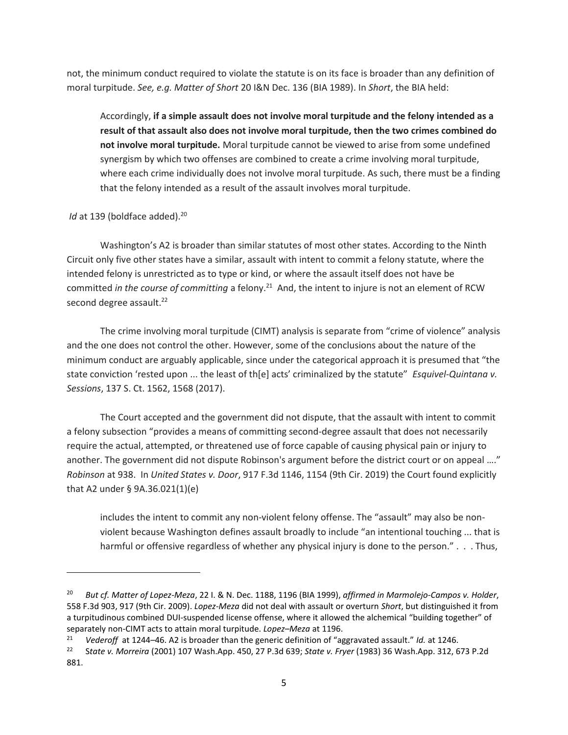not, the minimum conduct required to violate the statute is on its face is broader than any definition of moral turpitude. *See, e.g. Matter of Short* 20 I&N Dec. 136 (BIA 1989). In *Short*, the BIA held:

Accordingly, **if a simple assault does not involve moral turpitude and the felony intended as a result of that assault also does not involve moral turpitude, then the two crimes combined do not involve moral turpitude.** Moral turpitude cannot be viewed to arise from some undefined synergism by which two offenses are combined to create a crime involving moral turpitude, where each crime individually does not involve moral turpitude. As such, there must be a finding that the felony intended as a result of the assault involves moral turpitude.

#### *Id* at 139 (boldface added). 20

 $\overline{a}$ 

Washington's A2 is broader than similar statutes of most other states. According to the Ninth Circuit only five other states have a similar, assault with intent to commit a felony statute, where the intended felony is unrestricted as to type or kind, or where the assault itself does not have be committed *in the course of committing* a felony.<sup>21</sup> And, the intent to injure is not an element of RCW second degree assault.<sup>22</sup>

The crime involving moral turpitude (CIMT) analysis is separate from "crime of violence" analysis and the one does not control the other. However, some of the conclusions about the nature of the minimum conduct are arguably applicable, since under the categorical approach it is presumed that "the state conviction 'rested upon ... the least of th[e] acts' criminalized by the statute" *Esquivel-Quintana v. Sessions*, 137 S. Ct. 1562, 1568 (2017).

The Court accepted and the government did not dispute, that the assault with intent to commit a felony subsection "provides a means of committing second-degree assault that does not necessarily require the actual, attempted, or threatened use of force capable of causing physical pain or injury to another. The government did not dispute Robinson's argument before the district court or on appeal …." *Robinson* at 938. In *United States v. Door*, 917 F.3d 1146, 1154 (9th Cir. 2019) the Court found explicitly that A2 under § 9A.36.021(1)(e)

includes the intent to commit any non-violent felony offense. The "assault" may also be nonviolent because Washington defines assault broadly to include "an intentional touching ... that is harmful or offensive regardless of whether any physical injury is done to the person." . . . Thus,

<sup>20</sup> *But cf. Matter of Lopez-Meza*, 22 I. & N. Dec. 1188, 1196 (BIA 1999), *affirmed in Marmolejo-Campos v. Holder*, 558 F.3d 903, 917 (9th Cir. 2009). *Lopez-Meza* did not deal with assault or overturn *Short*, but distinguished it from a turpitudinous combined DUI-suspended license offense, where it allowed the alchemical "building together" of separately non-CIMT acts to attain moral turpitude. *Lopez–Meza* at 1196.

<sup>21</sup> *Vederoff* at 1244–46. A2 is broader than the generic definition of "aggravated assault." *Id.* at 1246.

<sup>22</sup> S*tate v. Morreira* (2001) 107 Wash.App. 450, 27 P.3d 639; *State v. Fryer* (1983) 36 Wash.App. 312, 673 P.2d 881.